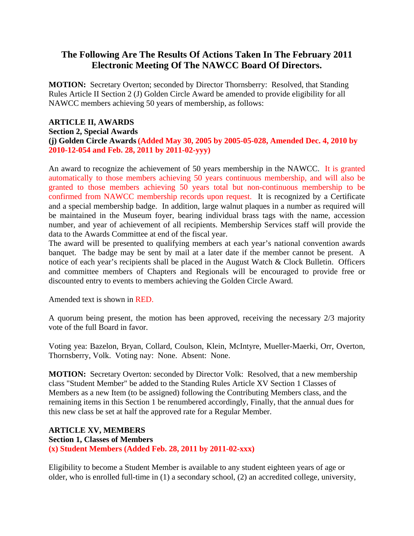## **The Following Are The Results Of Actions Taken In The February 2011 Electronic Meeting Of The NAWCC Board Of Directors.**

**MOTION:** Secretary Overton; seconded by Director Thornsberry: Resolved, that Standing Rules Article II Section 2 (J) Golden Circle Award be amended to provide eligibility for all NAWCC members achieving 50 years of membership, as follows:

## **ARTICLE II, AWARDS Section 2, Special Awards (j) Golden Circle Awards(Added May 30, 2005 by 2005-05-028, Amended Dec. 4, 2010 by 2010-12-054 and Feb. 28, 2011 by 2011-02-yyy)**

An award to recognize the achievement of 50 years membership in the NAWCC. It is granted automatically to those members achieving 50 years continuous membership, and will also be granted to those members achieving 50 years total but non-continuous membership to be confirmed from NAWCC membership records upon request. It is recognized by a Certificate and a special membership badge. In addition, large walnut plaques in a number as required will be maintained in the Museum foyer, bearing individual brass tags with the name, accession number, and year of achievement of all recipients. Membership Services staff will provide the data to the Awards Committee at end of the fiscal year.

The award will be presented to qualifying members at each year's national convention awards banquet. The badge may be sent by mail at a later date if the member cannot be present. A notice of each year's recipients shall be placed in the August Watch & Clock Bulletin. Officers and committee members of Chapters and Regionals will be encouraged to provide free or discounted entry to events to members achieving the Golden Circle Award.

Amended text is shown in RED.

A quorum being present, the motion has been approved, receiving the necessary 2/3 majority vote of the full Board in favor.

Voting yea: Bazelon, Bryan, Collard, Coulson, Klein, McIntyre, Mueller-Maerki, Orr, Overton, Thornsberry, Volk. Voting nay: None. Absent: None.

**MOTION:** Secretary Overton: seconded by Director Volk: Resolved, that a new membership class "Student Member" be added to the Standing Rules Article XV Section 1 Classes of Members as a new Item (to be assigned) following the Contributing Members class, and the remaining items in this Section 1 be renumbered accordingly, Finally, that the annual dues for this new class be set at half the approved rate for a Regular Member.

## **ARTICLE XV, MEMBERS Section 1, Classes of Members**

**(x) Student Members (Added Feb. 28, 2011 by 2011-02-xxx)**

Eligibility to become a Student Member is available to any student eighteen years of age or older, who is enrolled full-time in (1) a secondary school, (2) an accredited college, university,